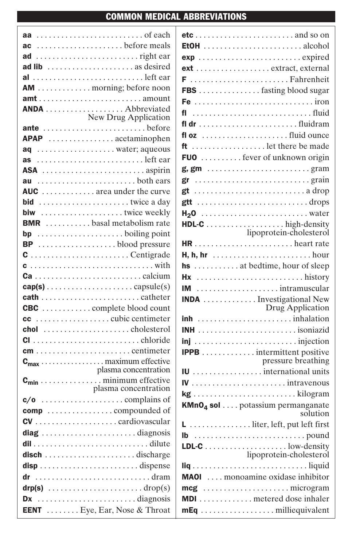## COMMON MEDICAL ABBREVIATIONS

|    | aa of each                                                            |
|----|-----------------------------------------------------------------------|
|    |                                                                       |
|    |                                                                       |
|    | ad lib  as desired                                                    |
|    | al left ear                                                           |
|    | <b>AM</b> morning; before noon                                        |
|    |                                                                       |
|    |                                                                       |
|    |                                                                       |
|    |                                                                       |
|    | APAP acetaminophen                                                    |
|    | aq water; aqueous                                                     |
|    | as left ear                                                           |
|    |                                                                       |
|    |                                                                       |
|    | AUC  area under the curve                                             |
|    | <b>bid</b> twice a day                                                |
|    | biw twice weekly                                                      |
|    | <b>BMR</b> basal metabolism rate                                      |
|    |                                                                       |
|    | $BP$ blood pressure                                                   |
|    |                                                                       |
|    | $c$ with                                                              |
|    | $ca \dots \dots \dots \dots \dots \dots \dots \dots \dots$ calcium    |
|    |                                                                       |
|    |                                                                       |
|    | <b>CBC</b> complete blood count                                       |
|    |                                                                       |
|    |                                                                       |
|    |                                                                       |
|    |                                                                       |
|    |                                                                       |
|    | plasma concentration                                                  |
|    | $\mathbf{c}_{\min}$ minimum effective                                 |
|    | plasma concentration                                                  |
|    |                                                                       |
|    |                                                                       |
|    |                                                                       |
|    | diag diagnosis                                                        |
|    |                                                                       |
|    | $\mathsf{disch}\dots\dots\dots\dots\dots\dots\dots\mathsf{discharge}$ |
|    |                                                                       |
| dr |                                                                       |
|    | $\text{drop(s)}$ drop(s)                                              |
| Dx | diagnosis                                                             |
|    | <b>EENT</b> Eye, Ear, Nose & Throat                                   |

| ext  extract, external                       |                         |
|----------------------------------------------|-------------------------|
|                                              |                         |
|                                              |                         |
|                                              |                         |
|                                              |                         |
|                                              |                         |
|                                              |                         |
| ft  let there be made                        |                         |
| FUO  fever of unknown origin                 |                         |
|                                              |                         |
| gr grain                                     |                         |
|                                              |                         |
|                                              |                         |
|                                              |                         |
|                                              |                         |
|                                              |                         |
|                                              |                         |
| hs  at bedtime, hour of sleep                |                         |
|                                              |                         |
| IM intramuscular                             |                         |
| INDA Investigational New                     | Drug Application        |
|                                              |                         |
|                                              |                         |
|                                              |                         |
|                                              | pressure breathing      |
|                                              |                         |
|                                              |                         |
| kg kilogram                                  |                         |
| KMnO <sub>4</sub> sol potassium permanganate | solution                |
|                                              |                         |
|                                              |                         |
|                                              |                         |
|                                              | lipoprotein-cholesterol |
|                                              |                         |
| MAOI  monoamine oxidase inhibitor            |                         |
| MDI metered dose inhaler                     |                         |
|                                              |                         |
| mEq milliequivalent                          |                         |